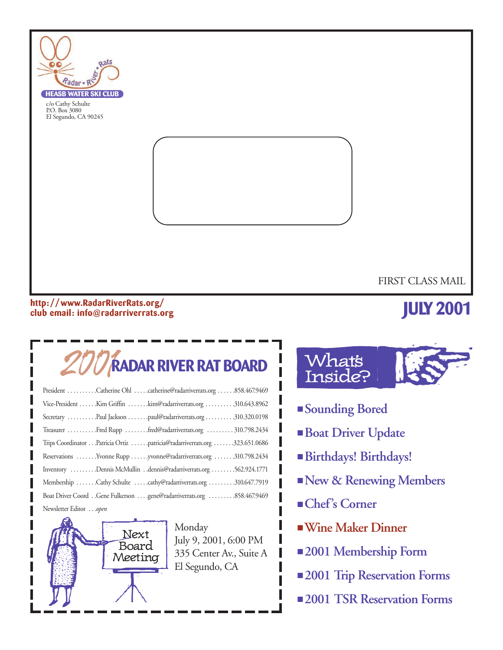

#### **http: //www.RadarRiverRats.org/ club email: info@radarriverrats.org**

# **JULY 2001**

# 2001**RADAR RIVER RAT BOARD**

| President Catherine Ohl catherine@radarriverrats.org 858.467.9469         |
|---------------------------------------------------------------------------|
| Vice-President Kim Griffin kim@radarriverrats.org 310.643.8962            |
| Secretary Paul Jackson paul@radarriverrats.org310.320.0198                |
| Treasurer Fred Rupp fred@radarriverrats.org  310.798.2434                 |
| Trips Coordinator Patricia Ortiz patricia@radarriverrats.org 323.651.0686 |
| Reservations Yvonne Rupp yvonne@radarriverrats.org 310.798.2434           |
| Inventory Dennis McMullin dennis@radarriverrats.org 562.924.1771          |
| Membership Cathy Schulte cathy@radarriverrats.org 310.647.7919            |
|                                                                           |
| Newsletter Editoropen                                                     |



Monday July 9, 2001, 6:00 PM 335 Center Av., Suite A El Segundo, CA

# **What's** Inside?

- **Sounding Bored**
- **Boat Driver Update**
- **Birthdays! Birthdays!**
- ■**New & Renewing Members**
- **Chef's Corner**
- ■**Wine Maker Dinner**
- **2001 Membership Form**
- **2001 Trip Reservation Forms**
- **2001 TSR Reservation Forms**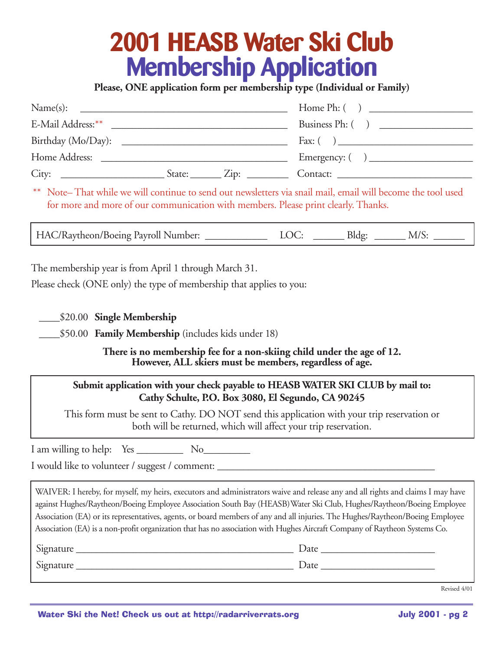# **2001 HEASB Water Ski Club Membership Application**

**Please, ONE application form per membership type (Individual or Family)**

| Name(s):                                                                                                       |                                             |                                                           |
|----------------------------------------------------------------------------------------------------------------|---------------------------------------------|-----------------------------------------------------------|
|                                                                                                                |                                             | Business Ph: ()                                           |
|                                                                                                                |                                             | Fax: $\begin{pmatrix} 0 & 1 \\ 0 & 1 \end{pmatrix}$       |
| Home Address:<br>and the control of the control of the control of the control of the control of the control of |                                             | Emergency: $\begin{pmatrix} 1 & 1 \\ 1 & 1 \end{pmatrix}$ |
| City:                                                                                                          | $\text{State:}$ $\qquad \qquad \text{Zip:}$ | Contact:                                                  |

\* Note– That while we will continue to send out newsletters via snail mail, email will become the tool used for more and more of our communication with members. Please print clearly. Thanks.

HAC/Raytheon/Boeing Payroll Number: <br> LOC: \_\_\_\_\_\_\_\_ Bldg: \_\_\_\_\_\_\_ M/S:

The membership year is from April 1 through March 31.

Please check (ONE only) the type of membership that applies to you:

\_\_\_\_\$20.00 **Single Membership**

\_\_\_\_\$50.00 **Family Membership** (includes kids under 18)

**There is no membership fee for a non-skiing child under the age of 12. However, ALL skiers must be members, regardless of age.**

#### **Submit application with your check payable to HEASB WATER SKI CLUB by mail to: Cathy Schulte, P.O. Box 3080, El Segundo, CA 90245**

This form must be sent to Cathy. DO NOT send this application with your trip reservation or both will be returned, which will affect your trip reservation.

I am willing to help: Yes No

I would like to volunteer / suggest / comment:

WAIVER: I hereby, for myself, my heirs, executors and administrators waive and release any and all rights and claims I may have against Hughes/Raytheon/Boeing Employee Association South Bay (HEASB)Water Ski Club, Hughes/Raytheon/Boeing Employee Association (EA) or its representatives, agents, or board members of any and all injuries. The Hughes/Raytheon/Boeing Employee Association (EA) is a non-profit organization that has no association with Hughes Aircraft Company of Raytheon Systems Co.

| Signature | <i>D</i> ate      |
|-----------|-------------------|
| Signature | $\mathcal{Q}$ ate |

Revised 4/01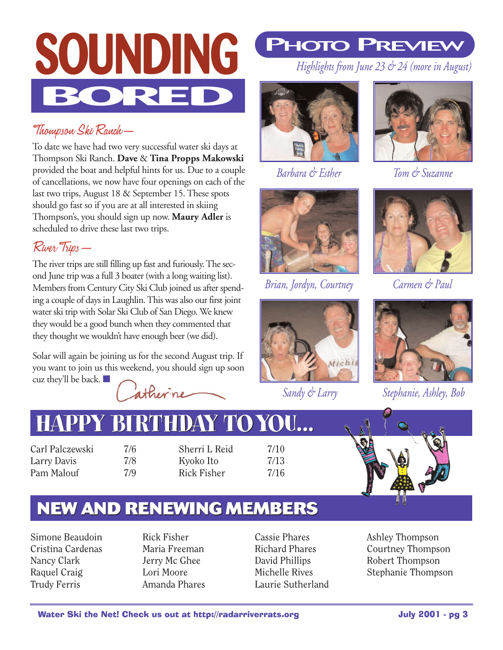

### Thompson Ski Ranch—

To date we have had two very successful water ski days at Thompson Ski Ranch. **Dave** & **Tina Propps Makowski** provided the boat and helpful hints for us. Due to a couple of cancellations, we now have four openings on each of the last two trips, August 18 & September 15. These spots should go fast so if you are at all interested in skiing Thompson's, you should sign up now. **Maury Adler** is scheduled to drive these last two trips.

### River Trips—

The river trips are still filling up fast and furiously. The second June trip was a full 3 boater (with a long waiting list). Members from Century City Ski Club joined us after spending a couple of days in Laughlin. This was also our first joint water ski trip with Solar Ski Club of San Diego. We knew they would be a good bunch when they commented that they thought we wouldn't have enough beer (we did).

Solar will again be joining us for the second August trip. If you want to join us this weekend, you should sign up soon cuz they'll be back.  $\blacksquare$ 

atherine

# **PHOTO PREVIEW**

*Highlights from June 23 & 24 (more in August)*



*Barbara & Esther*



*Tom & Suzanne*



*Brian, Jordyn, Courtney*



*Sandy & Larry* 



*Carmen & Paul*



*Stephanie, Ashley, Bob*

# $H$ APPY BI

Carl Palczewski 7/6 Larry Davis 7/8 Pam Malouf 7/9

Sherri L Reid 7/10 Kyoko Ito 7/13 Rick Fisher 7/16



## **NEW AND RENEWING MEMBERS**

Simone Beaudoin Cristina Cardenas Nancy Clark Raquel Craig Trudy Ferris

Rick Fisher Maria Freeman Jerry Mc Ghee Lori Moore Amanda Phares

Cassie Phares Richard Phares David Phillips Michelle Rives Laurie Sutherland Ashley Thompson Courtney Thompson Robert Thompson Stephanie Thompson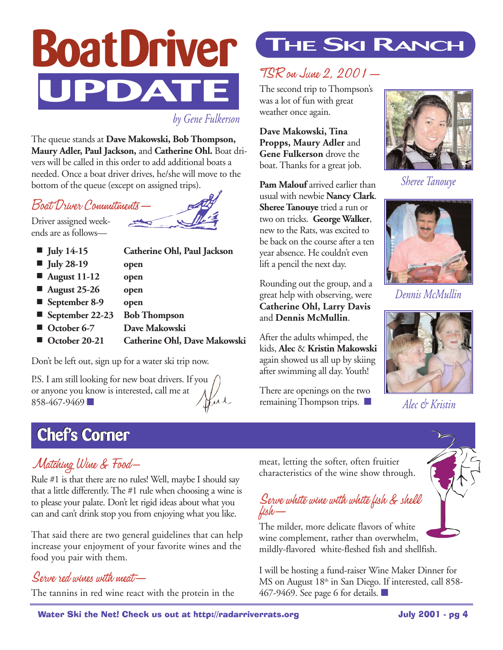

*by Gene Fulkerson*

The queue stands at **Dave Makowski, Bob Thompson, Maury Adler, Paul Jackson,** and **Catherine Ohl.** Boat drivers will be called in this order to add additional boats a needed. Once a boat driver drives, he/she will move to the bottom of the queue (except on assigned trips).

### Boat Driver Commitments—

Driver assigned weekends are as follows—



| $\blacksquare$ July 14-15   | Catherine Ohl, Paul Jackson  |
|-----------------------------|------------------------------|
| $\blacksquare$ July 28-19   | open                         |
| $\blacksquare$ August 11-12 | open                         |
| $\blacksquare$ August 25-26 | open                         |
| September 8-9               | open                         |
| September 22-23             | <b>Bob Thompson</b>          |
| October 6-7                 | Dave Makowski                |
| October 20-21               | Catherine Ohl, Dave Makowski |
|                             |                              |

Don't be left out, sign up for a water ski trip now.

P.S. I am still looking for new boat drivers. If you or anyone you know is interested, call me at Hur 858-467-9469

## **THE SKI RANCH**

## TSR on June 2, 2001—

The second trip to Thompson's was a lot of fun with great weather once again.

**Dave Makowski, Tina Propps, Maury Adler** and **Gene Fulkerson** drove the boat. Thanks for a great job.

Pam Malouf arrived earlier than usual with newbie **Nancy Clark**. **Sheree Tanouye** tried a run or two on tricks. **George Walker**, new to the Rats, was excited to be back on the course after a ten year absence. He couldn't even lift a pencil the next day.

Rounding out the group, and a great help with observing, were **Catherine Ohl, Larry Davis** and **Dennis McMullin**.

After the adults whimped, the kids, **Alec** & **Kristin Makowski** again showed us all up by skiing after swimming all day. Youth!

There are openings on the two remaining Thompson trips. ■



*Sheree Tanouye*



*Dennis McMullin*



*Alec & Kristin* 

## **Chef's Corner Chef's Corner**



Rule #1 is that there are no rules! Well, maybe I should say that a little differently. The #1 rule when choosing a wine is to please your palate. Don't let rigid ideas about what you can and can't drink stop you from enjoying what you like.

That said there are two general guidelines that can help increase your enjoyment of your favorite wines and the food you pair with them.

#### Serve red wines with meat—

The tannins in red wine react with the protein in the

meat, letting the softer, often fruitier characteristics of the wine show through.

#### Serve white wine with white fish & shell fish—

The milder, more delicate flavors of white wine complement, rather than overwhelm, mildly-flavored white-fleshed fish and shellfish.

I will be hosting a fund-raiser Wine Maker Dinner for MS on August 18<sup>th</sup> in San Diego. If interested, call 858-467-9469. See page 6 for details. ■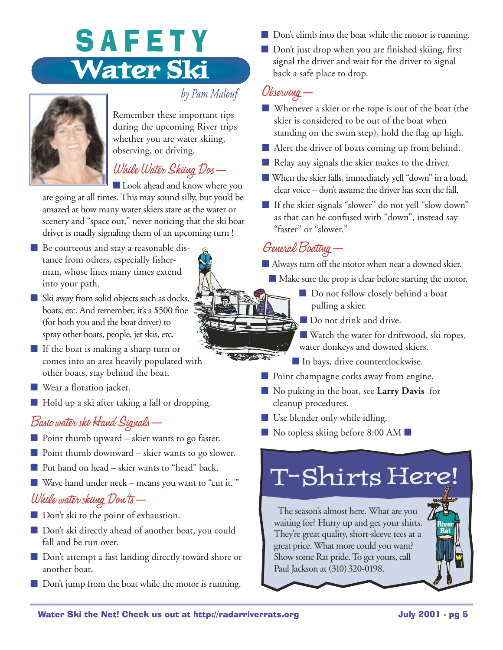# SAFETY **Water Ski**



#### *by Pam Malouf*

Remember these important tips during the upcoming River trips whether you are water skiing, observing, or driving.

### While Water Skiing Dos—

■ Look ahead and know where you

are going at all times. This may sound silly, but you'd be amazed at how many water skiers stare at the water or scenery and "space out," never noticing that the ski boat driver is madly signaling them of an upcoming turn !

- Be courteous and stay a reasonable distance from others, especially fisherman, whose lines many times extend into your path.
- Ski away from solid objects such as docks, boats, etc. And remember, it's a \$500 fine (for both you and the boat driver) to spray other boats, people, jet skis, etc.
- If the boat is making a sharp turn or comes into an area heavily populated with other boats, stay behind the boat.
- Wear a flotation jacket.
- Hold up a ski after taking a fall or dropping.

## Basic water ski Hand Signals—

- Point thumb upward skier wants to go faster.
- Point thumb downward skier wants to go slower.
- Put hand on head skier wants to "head" back.
- Wave hand under neck means you want to "cut it. "

### While water skiing Don'ts—

- Don't ski to the point of exhaustion.
- Don't ski directly ahead of another boat, you could fall and be run over.
- Don't attempt a fast landing directly toward shore or another boat.
- Don't jump from the boat while the motor is running.
- Don't climb into the boat while the motor is running.
- Don't just drop when you are finished skiing, first signal the driver and wait for the driver to signal back a safe place to drop.

#### Observing—

- Whenever a skier or the rope is out of the boat (the skier is considered to be out of the boat when standing on the swim step), hold the flag up high.
- Alert the driver of boats coming up from behind.
- Relay any signals the skier makes to the driver.
- When the skier falls, immediately yell "down" in a loud, clear voice – don't assume the driver has seen the fall.
- If the skier signals "slower" do not yell "slow down" as that can be confused with "down", instead say "faster" or "slower."

## General Boating—

■ Always turn off the motor when near a downed skier.

- Make sure the prop is clear before starting the motor.
	- Do not follow closely behind a boat pulling a skier.
	- Do not drink and drive.
	- Watch the water for driftwood, ski ropes, water donkeys and downed skiers.
	- In bays, drive counterclockwise.
- Point champagne corks away from engine.
- No puking in the boat, see **Larry Davis** for cleanup procedures.

■ Use blender only while idling.

■ No topless skiing before 8:00 AM ■

# T-Shirts Here!

The season's almost here. What are you waiting for? Hurry up and get your shirts. They're great quality, short-sleeve tees at a great price. What more could you want? Show some Rat pride. To get yours, call Paul Jackson at (310) 320-0198.

**River Rat**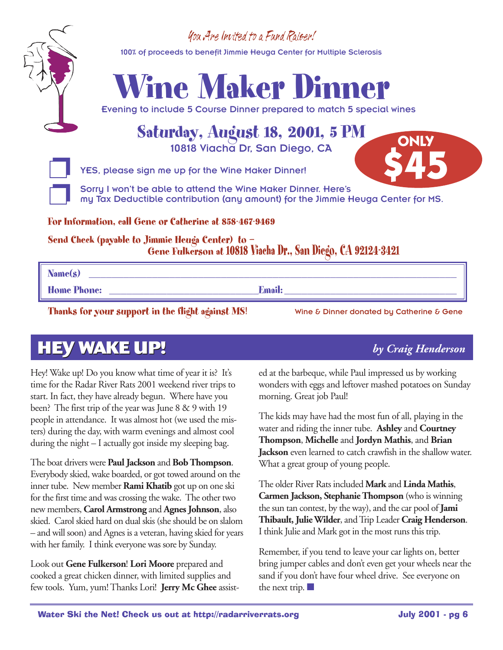### You Are Invited to a Fund Raiser!

100% of proceeds to benefit Jimmie Heuga Center for Multiple Sclerosis



Evening to include 5 Course Dinner prepared to match 5 special wines

### **Saturday, August 18, 2001, 5 PM** 10818 Viacha Dr, San Diego, CA

YES, please sign me up for the Wine Maker Dinner!

Sorry I won't be able to attend the Wine Maker Dinner. Here's my Tax Deductible contribution (any amount) for the Jimmie Heuga Center for MS. **\$45**

**For Information, call Gene or Catherine at 858-467-9469**

**Send Check (payable to Jimmie Heuga Center) to — Gene Fulkerson at 10818 Viacha Dr., San Diego, CA 92124-3421**

**Name(s) \_\_\_\_\_\_\_\_\_\_\_\_\_\_\_\_\_\_\_\_\_\_\_\_\_\_\_\_\_\_\_\_\_\_\_\_\_\_\_\_\_\_\_\_\_\_\_\_\_\_\_\_\_\_\_\_\_\_\_\_\_\_\_\_**

**Home Phone: \_\_\_\_\_\_\_\_\_\_\_\_\_\_\_\_\_\_\_\_\_\_\_\_\_\_Email: \_\_\_\_\_\_\_\_\_\_\_\_\_\_\_\_\_\_\_\_\_\_\_\_\_\_\_\_\_\_**

Thanks for your support in the flight against MS! Wine & Dinner donated by Catherine & Gene

**ONLY**

## **HEY WAKE UP! HEY WAKE UP!** *by Craig Henderson*

Hey! Wake up! Do you know what time of year it is? It's time for the Radar River Rats 2001 weekend river trips to start. In fact, they have already begun. Where have you been? The first trip of the year was June 8 & 9 with 19 people in attendance. It was almost hot (we used the misters) during the day, with warm evenings and almost cool during the night – I actually got inside my sleeping bag.

The boat drivers were **Paul Jackson** and **Bob Thompson**. Everybody skied, wake boarded, or got towed around on the inner tube. New member **Rami Khatib** got up on one ski for the first time and was crossing the wake. The other two new members, **Carol Armstrong** and **Agnes Johnson**, also skied. Carol skied hard on dual skis (she should be on slalom – and will soon) and Agnes is a veteran, having skied for years with her family. I think everyone was sore by Sunday.

Look out **Gene Fulkerson**! **Lori Moore** prepared and cooked a great chicken dinner, with limited supplies and few tools. Yum, yum! Thanks Lori! **Jerry Mc Ghee** assisted at the barbeque, while Paul impressed us by working wonders with eggs and leftover mashed potatoes on Sunday

The kids may have had the most fun of all, playing in the water and riding the inner tube. **Ashley** and **Courtney Thompson**, **Michelle** and **Jordyn Mathis**, and **Brian Jackson** even learned to catch crawfish in the shallow water. What a great group of young people.

morning. Great job Paul!

The older River Rats included **Mark** and **Linda Mathis**, **Carmen Jackson, Stephanie Thompson** (who is winning the sun tan contest, by the way), and the car pool of **Jami Thibault, Julie Wilder**, and Trip Leader **Craig Henderson**. I think Julie and Mark got in the most runs this trip.

Remember, if you tend to leave your car lights on, better bring jumper cables and don't even get your wheels near the sand if you don't have four wheel drive. See everyone on the next trip. ■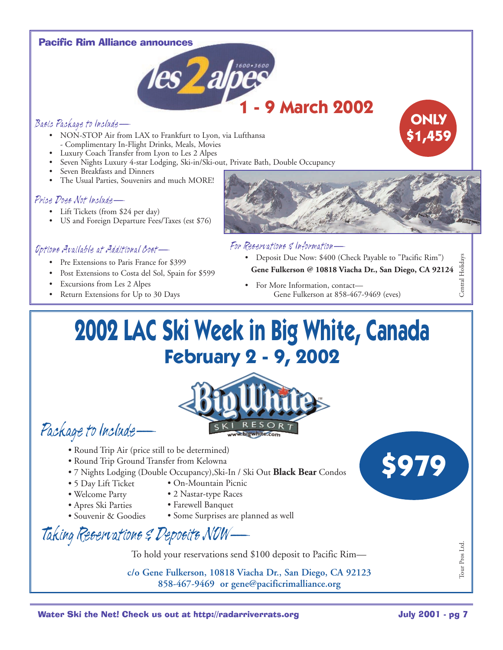#### Pacific Rim Alliance announces



#### Basic Package to Include—

- NON-STOP Air from LAX to Frankfurt to Lyon, via Lufthansa - Complimentary In-Flight Drinks, Meals, Movies
- Luxury Coach Transfer from Lyon to Les 2 Alpes
- Seven Nights Luxury 4-star Lodging, Ski-in/Ski-out, Private Bath, Double Occupancy
- Seven Breakfasts and Dinners
- The Usual Parties, Souvenirs and much MORE!

#### Price Does Not Include—

- Lift Tickets (from \$24 per day)
- US and Foreign Departure Fees/Taxes (est \$76)

#### Options Available at Additional Cost—

- Pre Extensions to Paris France for \$399
- Post Extensions to Costa del Sol, Spain for \$599
- Excursions from Les 2 Alpes
- Return Extensions for Up to 30 Days

#### For Reservations & Information—

- Deposit Due Now: \$400 (Check Payable to "Pacific Rim") **Gene Fulkerson @ 10818 Viacha Dr., San Diego, CA 92124**
- For More Information, contact— Gene Fulkerson at 858-467-9469 (eves)

# **2002 LAC Ski Week in Big White, Canada February 2 - 9, 2002**



Package to Include—

- Round Trip Air (price still to be determined)
- Round Trip Ground Transfer from Kelowna
- 7 Nights Lodging (Double Occupancy),Ski-In / Ski Out **Black Bear** Condos
- 5 Day Lift Ticket • On-Mountain Picnic
- Welcome Party
- 2 Nastar-type Races • Farewell Banquet
- Apres Ski Parties
- Souvenir & Goodies
- Some Surprises are planned as well

Taking Reservations & Deposits NOW—

To hold your reservations send \$100 deposit to Pacific Rim—

**c/o Gene Fulkerson, 10818 Viacha Dr., San Diego, CA 92123 858-467-9469 or gene@pacificrimalliance.org**



Tour Pros Ltd.

Tour Pros Ltd.

Central Holidays

Central Holiday

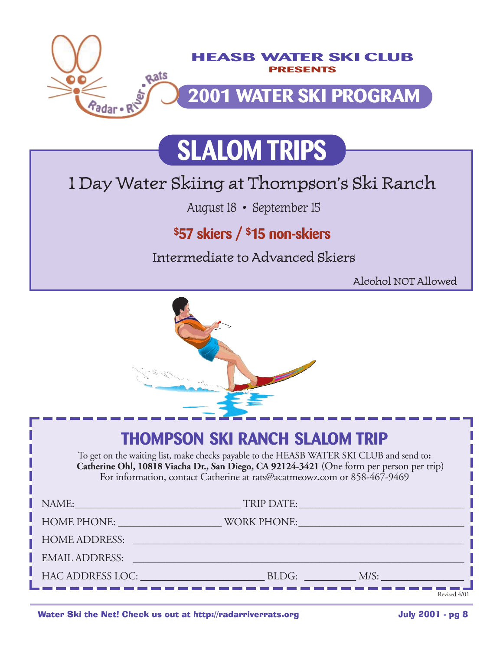

# **SLALOM TRIPS**

## 1 Day Water Skiing at Thompson's Ski Ranch

August 18 • September 15

## **\$57 skiers / \$15 non-skiers**

Intermediate to Advanced Skiers

Alcohol NOT Allowed



## **THOMPSON SKI RANCH SLALOM TRIP**

To get on the waiting list, make checks payable to the HEASB WATER SKI CLUB and send to**: Catherine Ohl, 10818 Viacha Dr., San Diego, CA 92124-3421** (One form per person per trip) For information, contact Catherine at rats@acatmeowz.com or 858-467-9469

| NAME:<br><u> 1989 - Johann Barbara, martin amerikan basar da</u>                                                                                                                                                              | TRIP DATE:                                                                                                                                                                                                                     | the contract of the contract of the contract of the contract of the contract of the contract of the contract of |              |
|-------------------------------------------------------------------------------------------------------------------------------------------------------------------------------------------------------------------------------|--------------------------------------------------------------------------------------------------------------------------------------------------------------------------------------------------------------------------------|-----------------------------------------------------------------------------------------------------------------|--------------|
| HOME PHONE: NOTE:                                                                                                                                                                                                             | WORK PHONE: VORK PHONE                                                                                                                                                                                                         |                                                                                                                 |              |
| <b>HOME ADDRESS:</b>                                                                                                                                                                                                          | and the control of the control of the control of the control of the control of the control of the control of the                                                                                                               |                                                                                                                 |              |
| <b>EMAIL ADDRESS:</b>                                                                                                                                                                                                         | and the company's company's company's company's company's company's company's company's company's company's company's                                                                                                          |                                                                                                                 |              |
| HAC ADDRESS LOC: The contract of the contract of the contract of the contract of the contract of the contract of the contract of the contract of the contract of the contract of the contract of the contract of the contract | BLDG: Analysis of the state of the state of the state of the state of the state of the state of the state of the state of the state of the state of the state of the state of the state of the state of the state of the state | M/S:                                                                                                            |              |
|                                                                                                                                                                                                                               |                                                                                                                                                                                                                                |                                                                                                                 | Revised 4/01 |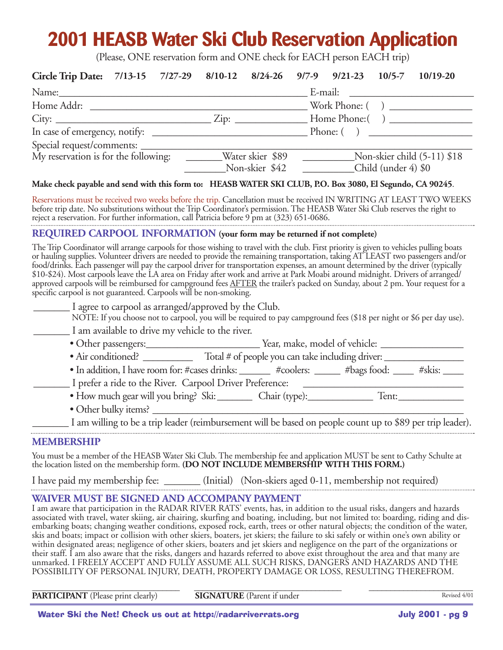# **2001 HEASB Water Ski Club Reservation Application**

(Please, ONE reservation form and ONE check for EACH person EACH trip)

| Circle Trip Date: 7/13-15 7/27-29 8/10-12 8/24-26 9/7-9 9/21-23 10/5-7 10/19-20 |  |                |                     |                             |
|---------------------------------------------------------------------------------|--|----------------|---------------------|-----------------------------|
|                                                                                 |  |                |                     |                             |
| Home Addr:                                                                      |  |                |                     | Work Phone: ( )             |
| $City:$ $Zip:$                                                                  |  |                |                     |                             |
|                                                                                 |  |                |                     | $\blacksquare$ Phone: ()    |
|                                                                                 |  |                |                     |                             |
| My reservation is for the following: ________Water skier \$89                   |  |                |                     | Non-skier child (5-11) \$18 |
|                                                                                 |  | Non-skier \$42 | Child (under 4) \$0 |                             |

#### **Make check payable and send with this form to: HEASB WATER SKI CLUB, P.O. Box 3080, El Segundo, CA 90245**.

Reservations must be received two weeks before the trip. Cancellation must be received IN WRITING AT LEAST TWO WEEKS before trip date. No substitutions without the Trip Coordinator's permission. The HEASB Water Ski Club reserves the right to reject a reservation. For further information, call Patricia before 9 pm at (323) 651-0686. 

#### **REQUIRED CARPOOL INFORMATION (your form may be returned if not complete)**

The Trip Coordinator will arrange carpools for those wishing to travel with the club. First priority is given to vehicles pulling boats or hauling supplies. Volunteer drivers are needed to provide the remaining transportation, taking AT LEAST two passengers and/or food/drinks. Each passenger will pay the carpool driver for transportation expenses, an amount determined by the driver (typically \$10-\$24). Most carpools leave the LA area on Friday after work and arrive at Park Moabi around midnight. Drivers of arranged/ approved carpools will be reimbursed for campground fees AFTER the trailer's packed on Sunday, about 2 pm. Your request for a specific carpool is not guaranteed. Carpools will be non-smoking.

| I agree to carpool as arranged/approved by the Club.     |                                                                                                                      |
|----------------------------------------------------------|----------------------------------------------------------------------------------------------------------------------|
|                                                          | NOTE: If you choose not to carpool, you will be required to pay campground fees (\$18 per night or \$6 per day use). |
| I am available to drive my vehicle to the river.         |                                                                                                                      |
| • Other passengers:                                      | Year, make, model of vehicle:                                                                                        |
| • Air conditioned?                                       | Total # of people you can take including driver:                                                                     |
|                                                          | • In addition, I have room for: #cases drinks: _______ #coolers: _____ #bags food: _<br>$#$ skis: $\_\_$             |
| I prefer a ride to the River. Carpool Driver Preference: |                                                                                                                      |

- How much gear will you bring? Ski: \_\_\_\_\_\_\_\_\_ Chair (type): \_\_\_\_\_\_\_\_\_\_\_\_\_\_ Tent: \_\_\_\_\_\_\_\_\_\_\_\_\_\_\_\_\_\_\_\_\_\_\_\_\_\_\_\_
- Other bulky items? \_\_\_\_\_\_\_\_\_\_\_\_\_\_\_\_\_\_\_\_\_\_\_\_\_\_\_\_\_\_\_\_\_\_\_\_\_\_\_\_\_\_\_\_\_\_\_\_\_\_\_\_\_\_\_\_\_\_\_\_\_\_

\_\_\_\_\_\_\_ I am willing to be a trip leader (reimbursement will be based on people count up to \$89 per trip leader).

#### **MEMBERSHIP**

You must be a member of the HEASB Water Ski Club. The membership fee and application MUST be sent to Cathy Schulte at the location listed on the membership form. **(DO NOT INCLUDE MEMBERSHIP WITH THIS FORM.)**

I have paid my membership fee: \_\_\_\_\_\_\_ (Initial) (Non-skiers aged 0-11, membership not required)

#### **WAIVER MUST BE SIGNED AND ACCOMPANY PAYMENT**

I am aware that participation in the RADAR RIVER RATS' events, has, in addition to the usual risks, dangers and hazards associated with travel, water skiing, air chairing, skurfing and boating, including, but not limited to: boarding, riding and disembarking boats; changing weather conditions, exposed rock, earth, trees or other natural objects; the condition of the water, skis and boats; impact or collision with other skiers, boaters, jet skiers; the failure to ski safely or within one's own ability or within designated areas; negligence of other skiers, boaters and jet skiers and negligence on the part of the organizations or their staff. I am also aware that the risks, dangers and hazards referred to above exist throughout the area and that many are unmarked. I FREELY ACCEPT AND FULLY ASSUME ALL SUCH RISKS, DANGERS AND HAZARDS AND THE POSSIBILITY OF PERSONAL INJURY, DEATH, PROPERTY DAMAGE OR LOSS, RESULTING THEREFROM.

**PARTICIPANT** (Please print clearly) **SIGNATURE** (Parent if under

\_\_\_\_\_\_\_\_\_\_\_\_\_\_\_\_\_\_\_\_\_\_\_\_\_\_\_\_\_\_\_\_\_\_ \_\_\_\_\_\_\_\_\_\_\_\_\_\_\_\_\_\_\_\_\_\_\_\_\_\_\_\_\_\_\_\_\_\_ \_\_\_\_\_\_\_\_\_\_\_\_\_\_\_\_\_\_\_\_\_\_\_\_ Revised 4/01